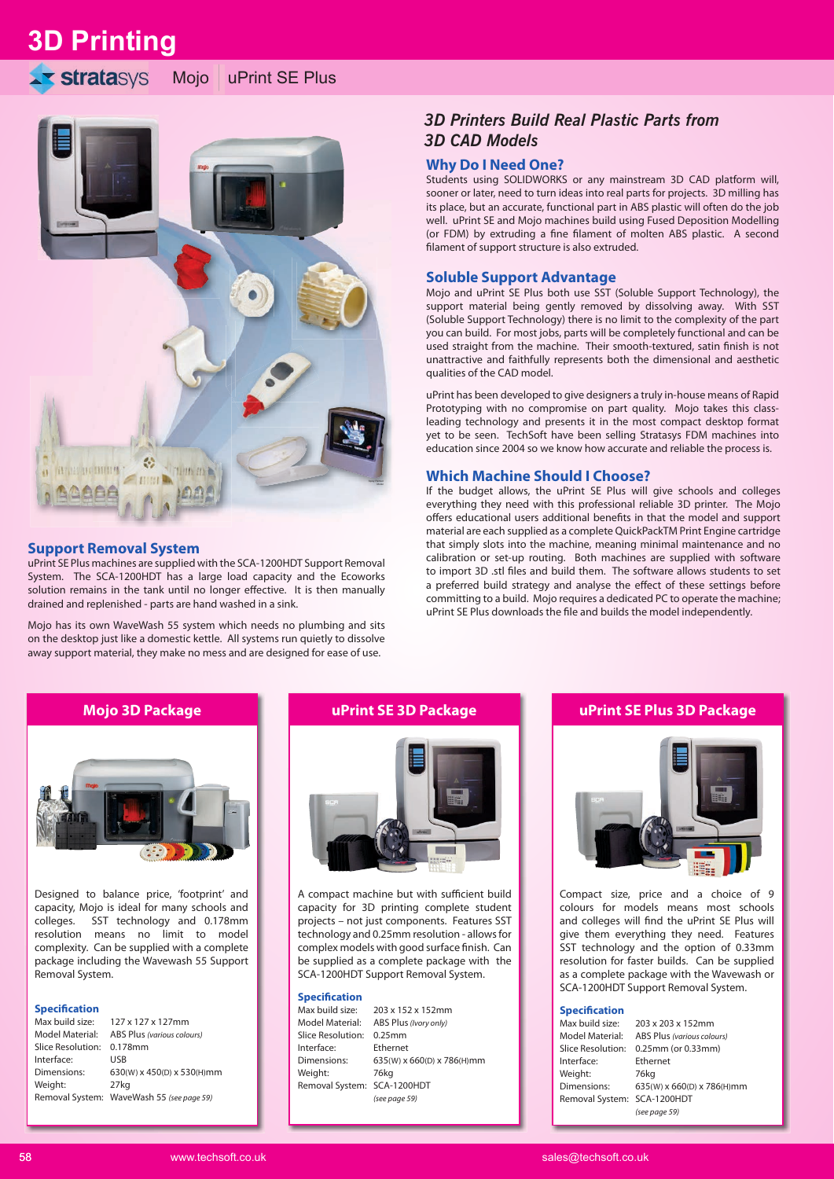**3D Printing**

# **stratasys**





### **Support Removal System**

uPrint SE Plus machines are supplied with the SCA-1200HDT Support Removal System. The SCA-1200HDT has a large load capacity and the Ecoworks solution remains in the tank until no longer effective. It is then manually drained and replenished - parts are hand washed in a sink.

Mojo has its own WaveWash 55 system which needs no plumbing and sits on the desktop just like a domestic kettle. All systems run quietly to dissolve away support material, they make no mess and are designed for ease of use.

# *3D Printers Build Real Plastic Parts from 3D CAD Models*

# **Why Do I Need One?**

Students using SOLIDWORKS or any mainstream 3D CAD platform will, sooner or later, need to turn ideas into real parts for projects. 3D milling has its place, but an accurate, functional part in ABS plastic will often do the job well. uPrint SE and Mojo machines build using Fused Deposition Modelling (or FDM) by extruding a fine filament of molten ABS plastic. A second filament of support structure is also extruded.

### **Soluble Support Advantage**

Mojo and uPrint SE Plus both use SST (Soluble Support Technology), the support material being gently removed by dissolving away. With SST (Soluble Support Technology) there is no limit to the complexity of the part you can build. For most jobs, parts will be completely functional and can be used straight from the machine. Their smooth-textured, satin finish is not unattractive and faithfully represents both the dimensional and aesthetic qualities of the CAD model.

uPrint has been developed to give designers a truly in-house means of Rapid Prototyping with no compromise on part quality. Mojo takes this classleading technology and presents it in the most compact desktop format yet to be seen. TechSoft have been selling Stratasys FDM machines into education since 2004 so we know how accurate and reliable the process is.

## **Which Machine Should I Choose?**

If the budget allows, the uPrint SE Plus will give schools and colleges everything they need with this professional reliable 3D printer. The Mojo offers educational users additional benefits in that the model and support material are each supplied as a complete QuickPackTM Print Engine cartridge that simply slots into the machine, meaning minimal maintenance and no calibration or set-up routing. Both machines are supplied with software to import 3D .stl files and build them. The software allows students to set a preferred build strategy and analyse the effect of these settings before committing to a build. Mojo requires a dedicated PC to operate the machine; uPrint SE Plus downloads the file and builds the model independently.



Designed to balance price, 'footprint' and capacity, Mojo is ideal for many schools and colleges. SST technology and 0.178mm resolution means no limit to model complexity. Can be supplied with a complete package including the Wavewash 55 Support Removal System.

### **Specification**

| Max build size:           | 127 x 127 x 127mm                         |
|---------------------------|-------------------------------------------|
| Model Material:           | ABS Plus (various colours)                |
| Slice Resolution: 0.178mm |                                           |
| Interface:                | USB                                       |
| Dimensions:               | 630(W) x 450(D) x 530(H)mm                |
| Weight:                   | 27 <sub>kg</sub>                          |
|                           | Removal System: WaveWash 55 (see page 59) |
|                           |                                           |

# **Mojo 3D Package uPrint SE 3D Package**



A compact machine but with sufficient build capacity for 3D printing complete student projects – not just components. Features SST technology and 0.25mm resolution - allows for complex models with good surface finish. Can be supplied as a complete package with the SCA-1200HDT Support Removal System.

### **Specification**

| Max build size:             | 203 x 152 x 152mm          |
|-----------------------------|----------------------------|
| Model Material:             | ABS Plus (Ivory only)      |
| Slice Resolution:           | $0.25$ mm                  |
| Interface:                  | Ethernet                   |
| Dimensions:                 | 635(W) x 660(D) x 786(H)mm |
| Weight:                     | 76kg                       |
| Removal System: SCA-1200HDT |                            |
|                             | (see page 59)              |
|                             |                            |

# **uPrint SE Plus 3D Package**



Compact size, price and a choice of 9 colours for models means most schools and colleges will find the uPrint SE Plus will give them everything they need. Features SST technology and the option of 0.33mm resolution for faster builds. Can be supplied as a complete package with the Wavewash or SCA-1200HDT Support Removal System.

#### **Specification**

| Max build size:             | 203 x 203 x 152mm          |
|-----------------------------|----------------------------|
| Model Material:             | ABS Plus (various colours) |
| Slice Resolution:           | 0.25mm (or 0.33mm)         |
| Interface:                  | Ethernet                   |
| Weight:                     | 76kg                       |
| Dimensions:                 | 635(W) x 660(D) x 786(H)mm |
| Removal System: SCA-1200HDT |                            |
|                             | (see page 59)              |